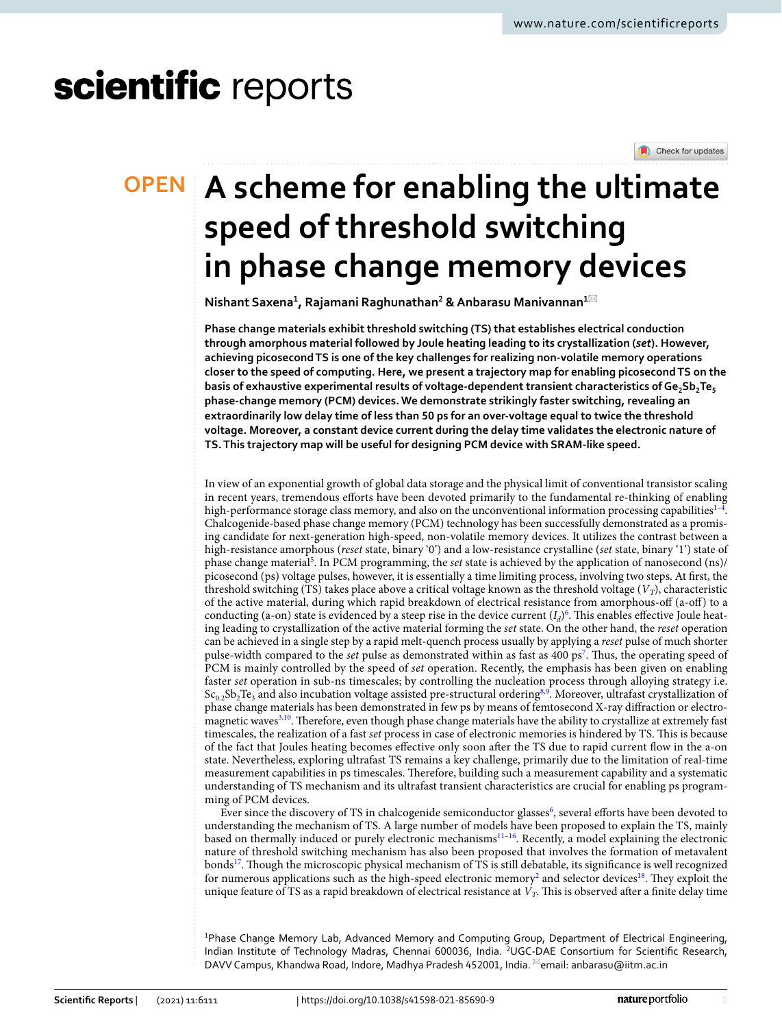# scientific reports

Check for updates

# **A scheme for enabling the ultimate OPEN speed of threshold switching in phase change memory devices**

**Nishant Saxena<sup>1</sup> , Rajamani Raghunathan<sup>2</sup> & Anbarasu Manivannan<sup>1</sup>**\*

**Phase change materials exhibit threshold switching (TS) that establishes electrical conduction through amorphous material followed by Joule heating leading to its crystallization (***set***). However, achieving picosecond TS is one of the key challenges for realizing non-volatile memory operations closer to the speed of computing. Here, we present a trajectory map for enabling picosecond TS on the basis of exhaustive experimental results of voltage-dependent transient characteristics of Ge2Sb2Te<sup>5</sup> phase-change memory (PCM) devices. We demonstrate strikingly faster switching, revealing an extraordinarily low delay time of less than 50 ps for an over-voltage equal to twice the threshold voltage. Moreover, a constant device current during the delay time validates the electronic nature of TS. This trajectory map will be useful for designing PCM device with SRAM-like speed.**

In view of an exponential growth of global data storage and the physical limit of conventional transistor scaling in recent years, tremendous efforts have been devoted primarily to the fundamental re-thinking of enabling high-performance storage class memory, and also on the unconventional information processing capabilities<sup>[1](#page-7-0)-4</sup>. Chalcogenide-based phase change memory (PCM) technology has been successfully demonstrated as a promising candidate for next-generation high-speed, non-volatile memory devices. It utilizes the contrast between a high-resistance amorphous (*reset* state, binary '0') and a low-resistance crystalline (*set* state, binary '1') state of phase change material<sup>[5](#page-7-2)</sup>. In PCM programming, the *set* state is achieved by the application of nanosecond (ns)/ picosecond (ps) voltage pulses, however, it is essentially a time limiting process, involving two steps. At first, the threshold switching (TS) takes place above a critical voltage known as the threshold voltage (*V<sup>T</sup>* ), characteristic of the active material, during which rapid breakdown of electrical resistance from amorphous-off (a-off) to a conducting (a-on) state is evidenced by a steep rise in the device current  $(I_d)^6$  $(I_d)^6$ . This enables effective Joule heating leading to crystallization of the active material forming the *set* state. On the other hand, the *reset* operation can be achieved in a single step by a rapid melt-quench process usually by applying a *reset* pulse of much shorter pulse-width compared to the *set* pulse as demonstrated within as fast as 400 ps<sup>[7](#page-7-4)</sup>. Thus, the operating speed of PCM is mainly controlled by the speed of *set* operation. Recently, the emphasis has been given on enabling faster *set* operation in sub-ns timescales; by controlling the nucleation process through alloying strategy i.e.  $Sc_{0.2}Sb_2Te_3$  and also incubation voltage assisted pre-structural ordering<sup>[8](#page-7-5),[9](#page-7-6)</sup>. Moreover, ultrafast crystallization of phase change materials has been demonstrated in few ps by means of femtosecond X-ray diffraction or electro-magnetic waves<sup>[3,](#page-7-7)[10](#page-7-8)</sup>. Therefore, even though phase change materials have the ability to crystallize at extremely fast timescales, the realization of a fast *set* process in case of electronic memories is hindered by TS. This is because of the fact that Joules heating becomes effective only soon after the TS due to rapid current flow in the a-on state. Nevertheless, exploring ultrafast TS remains a key challenge, primarily due to the limitation of real-time measurement capabilities in ps timescales. Therefore, building such a measurement capability and a systematic understanding of TS mechanism and its ultrafast transient characteristics are crucial for enabling ps programming of PCM devices.

Ever since the discovery of TS in chalcogenide semiconductor glasses<sup>[6](#page-7-3)</sup>, several efforts have been devoted to understanding the mechanism of TS. A large number of models have been proposed to explain the TS, mainly based on thermally induced or purely electronic mechanisms[11](#page-7-9)[–16](#page-7-10). Recently, a model explaining the electronic nature of threshold switching mechanism has also been proposed that involves the formation of metavalent bonds<sup>[17](#page-7-11)</sup>. Though the microscopic physical mechanism of TS is still debatable, its significance is well recognized for numerous applications such as the high-speed electronic memory<sup>[2](#page-7-12)</sup> and selector devices<sup>[18](#page-7-13)</sup>. They exploit the unique feature of TS as a rapid breakdown of electrical resistance at  $V_T$ . This is observed after a finite delay time

<sup>1</sup>Phase Change Memory Lab, Advanced Memory and Computing Group, Department of Electrical Engineering, Indian Institute of Technology Madras, Chennai 600036, India. <sup>2</sup>UGC-DAE Consortium for Scientific Research, DAVV Campus, Khandwa Road, Indore, Madhya Pradesh 452001, India. <sup>⊠</sup>email: anbarasu@iitm.ac.in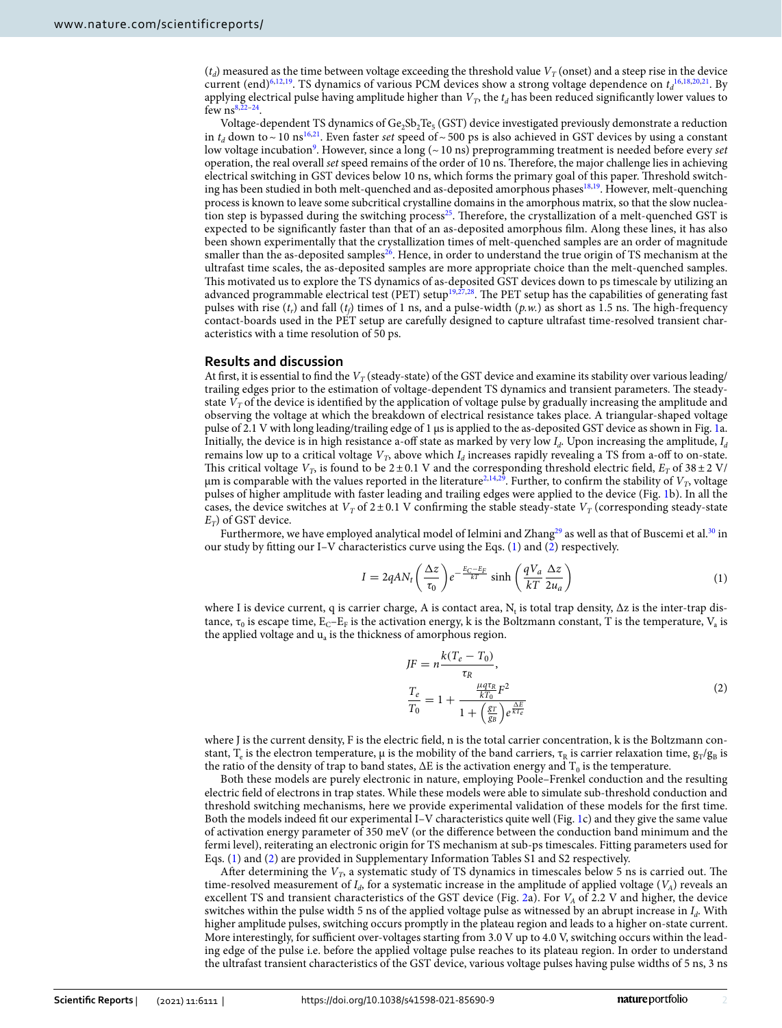$(t_d)$  measured as the time between voltage exceeding the threshold value  $V_T$  (onset) and a steep rise in the device current (end)<sup>[6](#page-7-3),[12,](#page-7-14)[19](#page-7-15)</sup>. TS dynamics of various PCM devices show a strong voltage dependence on  $t_d^{16,18,20,21}$  $t_d^{16,18,20,21}$  $t_d^{16,18,20,21}$  $t_d^{16,18,20,21}$  $t_d^{16,18,20,21}$  $t_d^{16,18,20,21}$  $t_d^{16,18,20,21}$ . By applying electrical pulse having amplitude higher than  $V_T$ , the  $t_d$  has been reduced significantly lower values to few  $ns^{8,2}$  $ns^{8,2}$  $ns^{8,2}$ .

Voltage-dependent TS dynamics of  $Ge_2Sb_2Te_5(GST)$  device investigated previously demonstrate a reduction in  $t_d$  down to ~ 10 ns<sup>[16,](#page-7-10)[21](#page-7-17)</sup>. Even faster *set* speed of ~ 500 ps is also achieved in GST devices by using a constant low voltage incubation<sup>[9](#page-7-6)</sup>. However, since a long (~ 10 ns) preprogramming treatment is needed before every *set* operation, the real overall *set* speed remains of the order of 10 ns. Therefore, the major challenge lies in achieving electrical switching in GST devices below 10 ns, which forms the primary goal of this paper. Threshold switch-ing has been studied in both melt-quenched and as-deposited amorphous phases<sup>[18](#page-7-13)[,19](#page-7-15)</sup>. However, melt-quenching process is known to leave some subcritical crystalline domains in the amorphous matrix, so that the slow nuclea-tion step is bypassed during the switching process<sup>[25](#page-7-20)</sup>. Therefore, the crystallization of a melt-quenched GST is expected to be significantly faster than that of an as-deposited amorphous film. Along these lines, it has also been shown experimentally that the crystallization times of melt-quenched samples are an order of magnitude smaller than the as-deposited samples<sup>[26](#page-7-21)</sup>. Hence, in order to understand the true origin of TS mechanism at the ultrafast time scales, the as-deposited samples are more appropriate choice than the melt-quenched samples. This motivated us to explore the TS dynamics of as-deposited GST devices down to ps timescale by utilizing an advanced programmable electrical test (PET) setup<sup>[19](#page-7-15),[27](#page-7-22),[28](#page-7-23)</sup>. The PET setup has the capabilities of generating fast pulses with rise (*t<sup>r</sup>* ) and fall (*t<sup>f</sup>* ) times of 1 ns, and a pulse-width (*p.w.*) as short as 1.5 ns. The high-frequency contact-boards used in the PET setup are carefully designed to capture ultrafast time-resolved transient characteristics with a time resolution of 50 ps.

### **Results and discussion**

At first, it is essential to find the  $V_T$  (steady-state) of the GST device and examine its stability over various leading/ trailing edges prior to the estimation of voltage-dependent TS dynamics and transient parameters. The steadystate *V<sup>T</sup>* of the device is identified by the application of voltage pulse by gradually increasing the amplitude and observing the voltage at which the breakdown of electrical resistance takes place. A triangular-shaped voltage pulse of 2.1 V with long leading/trailing edge of 1 µs is applied to the as-deposited GST device as shown in Fig. [1](#page-2-0)a. Initially, the device is in high resistance a-off state as marked by very low *I<sup>d</sup>* . Upon increasing the amplitude, *I<sup>d</sup>* remains low up to a critical voltage  $V_T$ , above which  $I_d$  increases rapidly revealing a TS from a-off to on-state. This critical voltage  $V_T$ , is found to be 2 ± 0.1 V and the corresponding threshold electric field,  $E_T$  of 38 ± 2 V/  $\mu$ m is comparable with the values reported in the literature<sup>[2](#page-7-12)[,14](#page-7-24)[,29](#page-7-25)</sup>. Further, to confirm the stability of  $V_T$ , voltage pulses of higher amplitude with faster leading and trailing edges were applied to the device (Fig. [1b](#page-2-0)). In all the cases, the device switches at  $V_T$  of  $2 \pm 0.1$  V confirming the stable steady-state  $V_T$  (corresponding steady-state *ET* ) of GST device.

Furthermore, we have employed analytical model of Ielmini and Zhang<sup>[29](#page-7-25)</sup> as well as that of Buscemi et al.<sup>[30](#page-7-26)</sup> in our study by fitting our I–V characteristics curve using the Eqs. ([1](#page-1-0)) and ([2](#page-1-1)) respectively.

$$
I = 2qAN_t \left(\frac{\Delta z}{\tau_0}\right) e^{-\frac{E_C - E_F}{kT}} \sinh\left(\frac{qV_a}{kT} \frac{\Delta z}{2u_a}\right) \tag{1}
$$

where I is device current, q is carrier charge, A is contact area,  $\rm N_t$  is total trap density,  $\Delta z$  is the inter-trap distance,  $\tau_0$  is escape time,  $E_C$ – $E_F$  is the activation energy, k is the Boltzmann constant, T is the temperature,  $V_a$  is the applied voltage and  $u_a$  is the thickness of amorphous region.

<span id="page-1-1"></span><span id="page-1-0"></span>
$$
JF = n \frac{k(T_e - T_0)}{\tau_R},
$$
  
\n
$$
\frac{T_e}{T_0} = 1 + \frac{\frac{\mu q \tau_R}{k T_0} F^2}{1 + \left(\frac{g_T}{g_B}\right) e^{\frac{\Delta E}{k T_e}}}
$$
\n(2)

where J is the current density, F is the electric field, n is the total carrier concentration, k is the Boltzmann constant, T<sub>e</sub> is the electron temperature,  $\mu$  is the mobility of the band carriers,  $\tau_R$  is carrier relaxation time,  $g_T/g_B$  is the ratio of the density of trap to band states,  $\Delta E$  is the activation energy and  $T_0$  is the temperature.

Both these models are purely electronic in nature, employing Poole–Frenkel conduction and the resulting electric field of electrons in trap states. While these models were able to simulate sub-threshold conduction and threshold switching mechanisms, here we provide experimental validation of these models for the first time. Both the models indeed fit our experimental I–V characteristics quite well (Fig. [1c](#page-2-0)) and they give the same value of activation energy parameter of 350 meV (or the difference between the conduction band minimum and the fermi level), reiterating an electronic origin for TS mechanism at sub-ps timescales. Fitting parameters used for Eqs. [\(1\)](#page-1-0) and ([2\)](#page-1-1) are provided in Supplementary Information Tables S1 and S2 respectively.

After determining the *V<sup>T</sup>* , a systematic study of TS dynamics in timescales below 5 ns is carried out. The time-resolved measurement of  $I_d$ , for a systematic increase in the amplitude of applied voltage  $(V_A)$  reveals an excellent TS and transient characteristics of the GST device (Fig. [2](#page-3-0)a). For *VA* of 2.2 V and higher, the device switches within the pulse width 5 ns of the applied voltage pulse as witnessed by an abrupt increase in *I<sup>d</sup>* . With higher amplitude pulses, switching occurs promptly in the plateau region and leads to a higher on-state current. More interestingly, for sufficient over-voltages starting from 3.0 V up to 4.0 V, switching occurs within the leading edge of the pulse i.e. before the applied voltage pulse reaches to its plateau region. In order to understand the ultrafast transient characteristics of the GST device, various voltage pulses having pulse widths of 5 ns, 3 ns

2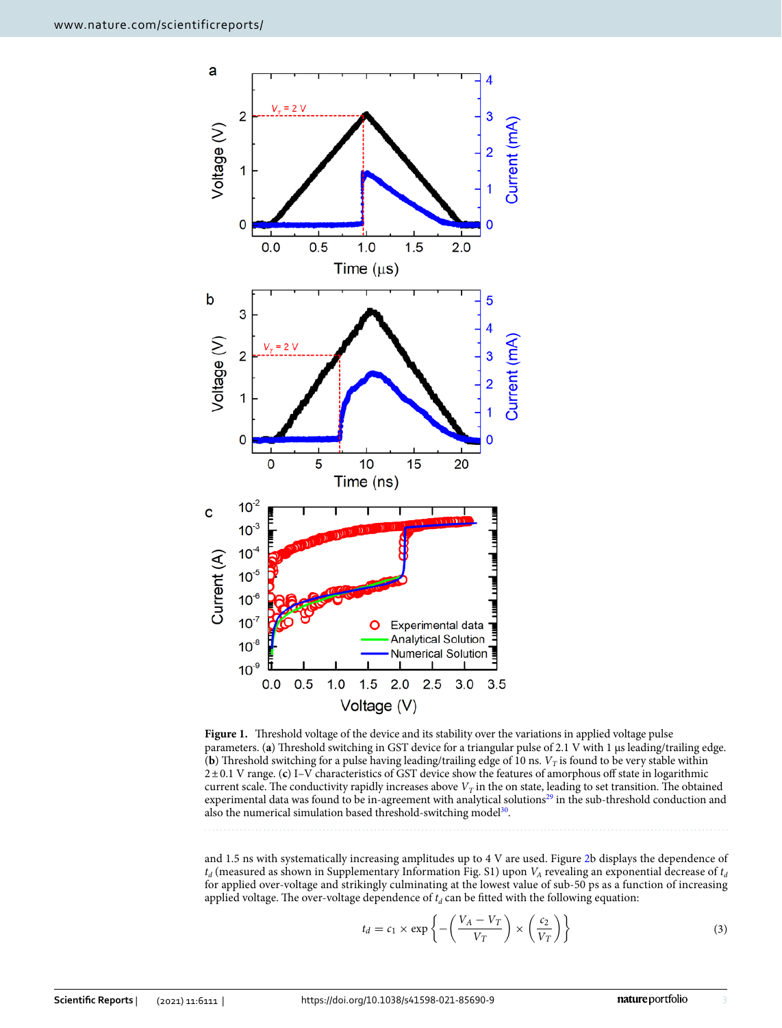

<span id="page-2-0"></span>Figure 1. Threshold voltage of the device and its stability over the variations in applied voltage pulse parameters. (a) Threshold switching in GST device for a triangular pulse of 2.1 V with 1 µs leading/trailing edge. (**b**) Threshold switching for a pulse having leading/trailing edge of 10 ns.  $V_T$  is found to be very stable within 2 ± 0.1 V range. (**c**) I–V characteristics of GST device show the features of amorphous off state in logarithmic current scale. The conductivity rapidly increases above  $V_T$  in the on state, leading to set transition. The obtained experimental data was found to be in-agreement with analytical solutions<sup>[29](#page-7-25)</sup> in the sub-threshold conduction and also the numerical simulation based threshold-switching model<sup>[30](#page-7-26)</sup>.

and 1.5 ns with systematically increasing amplitudes up to 4 V are used. Figure [2](#page-3-0)b displays the dependence of  $t_d$  (measured as shown in Supplementary Information Fig. S1) upon  $V_A$  revealing an exponential decrease of  $t_a$ for applied over-voltage and strikingly culminating at the lowest value of sub-50 ps as a function of increasing applied voltage. The over-voltage dependence of  $t_d$  can be fitted with the following equation:

<span id="page-2-1"></span>
$$
t_d = c_1 \times \exp\left\{-\left(\frac{V_A - V_T}{V_T}\right) \times \left(\frac{c_2}{V_T}\right)\right\} \tag{3}
$$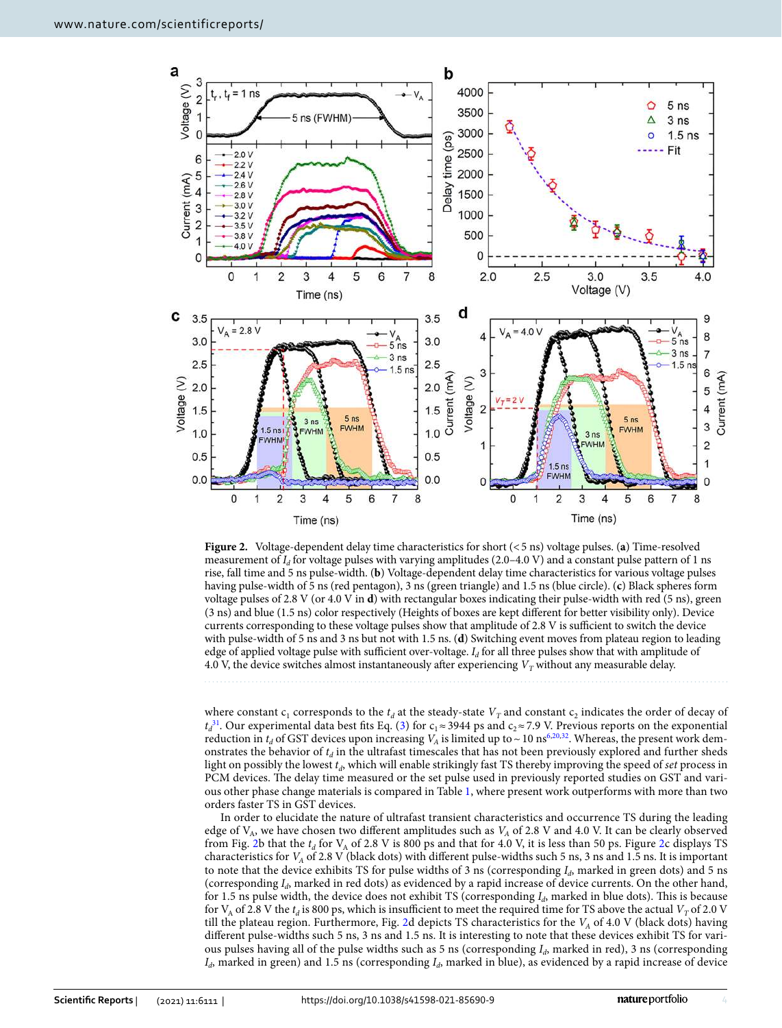

<span id="page-3-0"></span>**Figure 2.** Voltage-dependent delay time characteristics for short (< 5 ns) voltage pulses. (**a**) Time-resolved measurement of *I<sup>d</sup>* for voltage pulses with varying amplitudes (2.0–4.0 V) and a constant pulse pattern of 1 ns rise, fall time and 5 ns pulse-width. (**b**) Voltage-dependent delay time characteristics for various voltage pulses having pulse-width of 5 ns (red pentagon), 3 ns (green triangle) and 1.5 ns (blue circle). (**c**) Black spheres form voltage pulses of 2.8 V (or 4.0 V in **d**) with rectangular boxes indicating their pulse-width with red (5 ns), green (3 ns) and blue (1.5 ns) color respectively (Heights of boxes are kept different for better visibility only). Device currents corresponding to these voltage pulses show that amplitude of 2.8 V is sufficient to switch the device with pulse-width of 5 ns and 3 ns but not with 1.5 ns. (**d**) Switching event moves from plateau region to leading edge of applied voltage pulse with sufficient over-voltage. *I<sup>d</sup>* for all three pulses show that with amplitude of 4.0 V, the device switches almost instantaneously after experiencing  $V_T$  without any measurable delay.

where constant  $c_1$  corresponds to the  $t_d$  at the steady-state  $V_T$  and constant  $c_2$  indicates the order of decay of  $t_d^{31}$  $t_d^{31}$  $t_d^{31}$ . Our experimental data best fits Eq. [\(3\)](#page-2-1) for  $c_1 \approx 3944$  ps and  $c_2 \approx 7.9$  V. Previous reports on the exponential reduction in  $t_d$  of GST devices upon increasing  $V_A$  is limited up to  $\sim$  10 ns<sup>[6](#page-7-3),[20](#page-7-16),[32](#page-7-28)</sup>. Whereas, the present work demonstrates the behavior of *t<sup>d</sup>* in the ultrafast timescales that has not been previously explored and further sheds light on possibly the lowest *t<sup>d</sup>* , which will enable strikingly fast TS thereby improving the speed of *set* process in PCM devices. The delay time measured or the set pulse used in previously reported studies on GST and various other phase change materials is compared in Table [1](#page-4-0), where present work outperforms with more than two orders faster TS in GST devices.

In order to elucidate the nature of ultrafast transient characteristics and occurrence TS during the leading edge of  $V_A$ , we have chosen two different amplitudes such as  $V_A$  of 2.8 V and 4.0 V. It can be clearly observed from Fig. [2b](#page-3-0) that the  $t_d$  for V<sub>A</sub> of [2](#page-3-0).8 V is 800 ps and that for 4.0 V, it is less than 50 ps. Figure 2c displays TS characteristics for *VA* of 2.8 V (black dots) with different pulse-widths such 5 ns, 3 ns and 1.5 ns. It is important to note that the device exhibits TS for pulse widths of 3 ns (corresponding *I<sup>d</sup>* , marked in green dots) and 5 ns (corresponding *I<sub>d</sub>*, marked in red dots) as evidenced by a rapid increase of device currents. On the other hand, for 1.5 ns pulse width, the device does not exhibit TS (corresponding  $I_d$ , marked in blue dots). This is because for  $V_A$  of 2.8 V the  $t_d$  is 800 ps, which is insufficient to meet the required time for TS above the actual  $V_T$  of 2.0 V till the plateau region. Furthermore, Fig. [2](#page-3-0)d depicts TS characteristics for the *VA* of 4.0 V (black dots) having different pulse-widths such 5 ns, 3 ns and 1.5 ns. It is interesting to note that these devices exhibit TS for various pulses having all of the pulse widths such as 5 ns (corresponding *I<sup>d</sup>* , marked in red), 3 ns (corresponding  $I_d$ , marked in green) and 1.5 ns (corresponding  $I_d$ , marked in blue), as evidenced by a rapid increase of device

4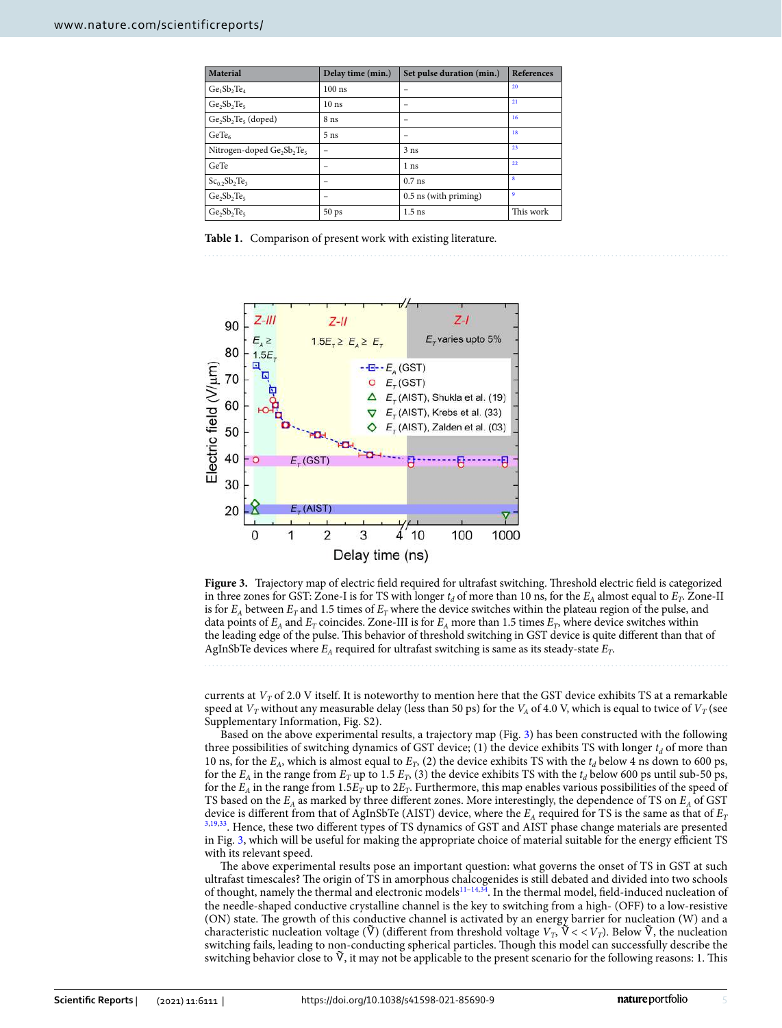| <b>Material</b>                                                | Delay time (min.) | Set pulse duration (min.) | <b>References</b> |
|----------------------------------------------------------------|-------------------|---------------------------|-------------------|
| $Ge1Sb2Te4$                                                    | $100$ ns          | -                         | 20                |
| $Ge_2Sb_2Te_5$                                                 | 10 <sub>ns</sub>  | -                         | 21                |
| $Ge_2Sb_2Te_5$ (doped)                                         | 8 <sub>ns</sub>   | -                         | 16                |
| GeTe <sub>6</sub>                                              | 5 <sub>ns</sub>   |                           | 18                |
| Nitrogen-doped Ge <sub>2</sub> Sb <sub>2</sub> Te <sub>5</sub> |                   | 3 <sub>ns</sub>           | 23                |
| GeTe                                                           |                   | 1 <sub>ns</sub>           | 22                |
| $Sc0.2Sb2Te3$                                                  |                   | $0.7$ ns                  | $\bf{8}$          |
| $Ge_2Sb_2Te_5$                                                 |                   | 0.5 ns (with priming)     | 9                 |
| $Ge_2Sb_2Te_5$                                                 | 50 ps             | $1.5$ ns                  | This work         |

<span id="page-4-0"></span>**Table 1.** Comparison of present work with existing literature.



<span id="page-4-1"></span>**Figure 3.** Trajectory map of electric field required for ultrafast switching. Threshold electric field is categorized in three zones for GST: Zone-I is for TS with longer  $t_d$  of more than 10 ns, for the  $E_A$  almost equal to  $E_T$ . Zone-II is for  $E_A$  between  $E_T$  and 1.5 times of  $E_T$  where the device switches within the plateau region of the pulse, and data points of  $E_A$  and  $E_T$  coincides. Zone-III is for  $E_A$  more than 1.5 times  $E_T$ , where device switches within the leading edge of the pulse. This behavior of threshold switching in GST device is quite different than that of AgInSbTe devices where  $E_A$  required for ultrafast switching is same as its steady-state  $E_T$ .

currents at  $V_T$  of 2.0 V itself. It is noteworthy to mention here that the GST device exhibits TS at a remarkable speed at  $V_T$  without any measurable delay (less than 50 ps) for the  $V_A$  of 4.0 V, which is equal to twice of  $V_T$  (see Supplementary Information, Fig. S2).

Based on the above experimental results, a trajectory map (Fig. [3](#page-4-1)) has been constructed with the following three possibilities of switching dynamics of GST device; (1) the device exhibits TS with longer  $t_d$  of more than 10 ns, for the  $E_A$ , which is almost equal to  $E_T$ , (2) the device exhibits TS with the  $t_d$  below 4 ns down to 600 ps, for the  $E_A$  in the range from  $E_T$  up to 1.5  $E_T$ , (3) the device exhibits TS with the  $t_d$  below 600 ps until sub-50 ps, for the  $E_A$  in the range from 1.5 $E_T$  up to 2 $E_T$ . Furthermore, this map enables various possibilities of the speed of TS based on the *EA* as marked by three different zones. More interestingly, the dependence of TS on *EA* of GST device is different from that of AgInSbTe (AIST) device, where the *EA* required for TS is the same as that of *E<sup>T</sup>* [3,](#page-7-7)[19,](#page-7-15)[33](#page-7-29). Hence, these two different types of TS dynamics of GST and AIST phase change materials are presented in Fig. [3](#page-4-1), which will be useful for making the appropriate choice of material suitable for the energy efficient TS with its relevant speed.

The above experimental results pose an important question: what governs the onset of TS in GST at such ultrafast timescales? The origin of TS in amorphous chalcogenides is still debated and divided into two schools of thought, namely the thermal and electronic models[11–](#page-7-9)[14](#page-7-24),[34](#page-7-30). In the thermal model, field-induced nucleation of the needle-shaped conductive crystalline channel is the key to switching from a high- (OFF) to a low-resistive (ON) state. The growth of this conductive channel is activated by an energy barrier for nucleation (W) and a characteristic nucleation voltage ( $\dot{V}$ ) (different from threshold voltage  $V_T$ ,  $\dot{V}$  <  $V_T$ ). Below  $\dot{V}$ , the nucleation switching fails, leading to non-conducting spherical particles. Though this model can successfully describe the switching behavior close to  $\bar{V}$ , it may not be applicable to the present scenario for the following reasons: 1. This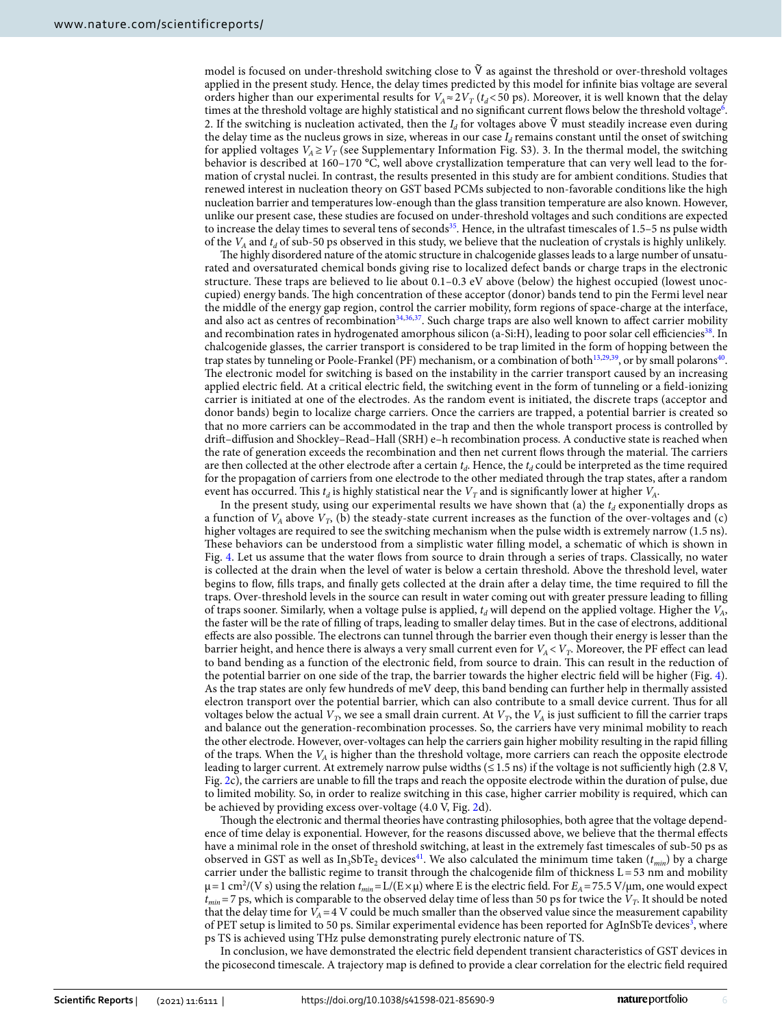model is focused on under-threshold switching close to  $\tilde{V}$  as against the threshold or over-threshold voltages applied in the present study. Hence, the delay times predicted by this model for infinite bias voltage are several orders higher than our experimental results for  $V_A \approx 2V_T$  ( $t_d$ < 50 ps). Moreover, it is well known that the delay times at the threshold voltage are highly statistical and no significant current flows below the threshold voltage<sup>[6](#page-7-3)</sup>. 2. If the switching is nucleation activated, then the *I<sub>d</sub>* for voltages above V must steadily increase even during the delay time as the nucleus grows in size, whereas in our case  $I_d$  remains constant until the onset of switching for applied voltages  $V_A \geq V_T$  (see Supplementary Information Fig. S3). 3. In the thermal model, the switching behavior is described at 160–170 °C, well above crystallization temperature that can very well lead to the formation of crystal nuclei. In contrast, the results presented in this study are for ambient conditions. Studies that renewed interest in nucleation theory on GST based PCMs subjected to non-favorable conditions like the high nucleation barrier and temperatures low-enough than the glass transition temperature are also known. However, unlike our present case, these studies are focused on under-threshold voltages and such conditions are expected to increase the delay times to several tens of seconds<sup>[35](#page-7-32)</sup>. Hence, in the ultrafast timescales of 1.5–5 ns pulse width of the *VA* and *t<sup>d</sup>* of sub-50 ps observed in this study, we believe that the nucleation of crystals is highly unlikely.

The highly disordered nature of the atomic structure in chalcogenide glasses leads to a large number of unsaturated and oversaturated chemical bonds giving rise to localized defect bands or charge traps in the electronic structure. These traps are believed to lie about 0.1–0.3 eV above (below) the highest occupied (lowest unoccupied) energy bands. The high concentration of these acceptor (donor) bands tend to pin the Fermi level near the middle of the energy gap region, control the carrier mobility, form regions of space-charge at the interface, and also act as centres of recombination<sup>[34](#page-7-30),[36](#page-7-33),[37](#page-7-34)</sup>. Such charge traps are also well known to affect carrier mobility and recombination rates in hydrogenated amorphous silicon (a-Si:H), leading to poor solar cell efficiencies<sup>[38](#page-7-35)</sup>. In chalcogenide glasses, the carrier transport is considered to be trap limited in the form of hopping between the trap states by tunneling or Poole-Frankel (PF) mechanism, or a combination of both<sup>[13](#page-7-36),[29](#page-7-25)[,39](#page-7-37)</sup>, or by small polarons<sup>[40](#page-7-38)</sup>. The electronic model for switching is based on the instability in the carrier transport caused by an increasing applied electric field. At a critical electric field, the switching event in the form of tunneling or a field-ionizing carrier is initiated at one of the electrodes. As the random event is initiated, the discrete traps (acceptor and donor bands) begin to localize charge carriers. Once the carriers are trapped, a potential barrier is created so that no more carriers can be accommodated in the trap and then the whole transport process is controlled by drift–diffusion and Shockley–Read–Hall (SRH) e–h recombination process. A conductive state is reached when the rate of generation exceeds the recombination and then net current flows through the material. The carriers are then collected at the other electrode after a certain *t<sup>d</sup>* . Hence, the *t<sup>d</sup>* could be interpreted as the time required for the propagation of carriers from one electrode to the other mediated through the trap states, after a random event has occurred. This  $t_d$  is highly statistical near the  $V_T$  and is significantly lower at higher  $V_A$ .

In the present study, using our experimental results we have shown that (a) the  $t_d$  exponentially drops as a function of  $V_A$  above  $V_T$ , (b) the steady-state current increases as the function of the over-voltages and (c) higher voltages are required to see the switching mechanism when the pulse width is extremely narrow (1.5 ns). These behaviors can be understood from a simplistic water filling model, a schematic of which is shown in Fig. [4](#page-6-0). Let us assume that the water flows from source to drain through a series of traps. Classically, no water is collected at the drain when the level of water is below a certain threshold. Above the threshold level, water begins to flow, fills traps, and finally gets collected at the drain after a delay time, the time required to fill the traps. Over-threshold levels in the source can result in water coming out with greater pressure leading to filling of traps sooner. Similarly, when a voltage pulse is applied, *t<sup>d</sup>* will depend on the applied voltage. Higher the *VA*, the faster will be the rate of filling of traps, leading to smaller delay times. But in the case of electrons, additional effects are also possible. The electrons can tunnel through the barrier even though their energy is lesser than the barrier height, and hence there is always a very small current even for  $V_A$ <  $V_T$ . Moreover, the PF effect can lead to band bending as a function of the electronic field, from source to drain. This can result in the reduction of the potential barrier on one side of the trap, the barrier towards the higher electric field will be higher (Fig. [4\)](#page-6-0). As the trap states are only few hundreds of meV deep, this band bending can further help in thermally assisted electron transport over the potential barrier, which can also contribute to a small device current. Thus for all voltages below the actual  $V_T$ , we see a small drain current. At  $V_T$ , the  $V_A$  is just sufficient to fill the carrier traps and balance out the generation-recombination processes. So, the carriers have very minimal mobility to reach the other electrode. However, over-voltages can help the carriers gain higher mobility resulting in the rapid filling of the traps. When the *VA* is higher than the threshold voltage, more carriers can reach the opposite electrode leading to larger current. At extremely narrow pulse widths (≤ 1.5 ns) if the voltage is not sufficiently high (2.8 V, Fig. [2](#page-3-0)c), the carriers are unable to fill the traps and reach the opposite electrode within the duration of pulse, due to limited mobility. So, in order to realize switching in this case, higher carrier mobility is required, which can be achieved by providing excess over-voltage (4.0 V, Fig. [2](#page-3-0)d).

Though the electronic and thermal theories have contrasting philosophies, both agree that the voltage dependence of time delay is exponential. However, for the reasons discussed above, we believe that the thermal effects have a minimal role in the onset of threshold switching, at least in the extremely fast timescales of sub-50 ps as observed in GST as well as In<sub>3</sub>SbTe<sub>2</sub> devices<sup>[41](#page-7-39)</sup>. We also calculated the minimum time taken ( $t_{min}$ ) by a charge carrier under the ballistic regime to transit through the chalcogenide film of thickness  $L = 53$  nm and mobility  $\mu$  = 1 cm<sup>2</sup>/(V s) using the relation  $t_{min}$  = L/(E ×  $\mu$ ) where E is the electric field. For  $E_A$  = 75.5 V/ $\mu$ m, one would expect *tmin* = 7 ps, which is comparable to the observed delay time of less than 50 ps for twice the *V<sup>T</sup>* . It should be noted that the delay time for  $V_A = 4$  V could be much smaller than the observed value since the measurement capability of PET setup is limited to 50 ps. Similar experimental evidence has been reported for AgInSbTe devices<sup>[3](#page-7-7)</sup>, where ps TS is achieved using THz pulse demonstrating purely electronic nature of TS.

In conclusion, we have demonstrated the electric field dependent transient characteristics of GST devices in the picosecond timescale. A trajectory map is defined to provide a clear correlation for the electric field required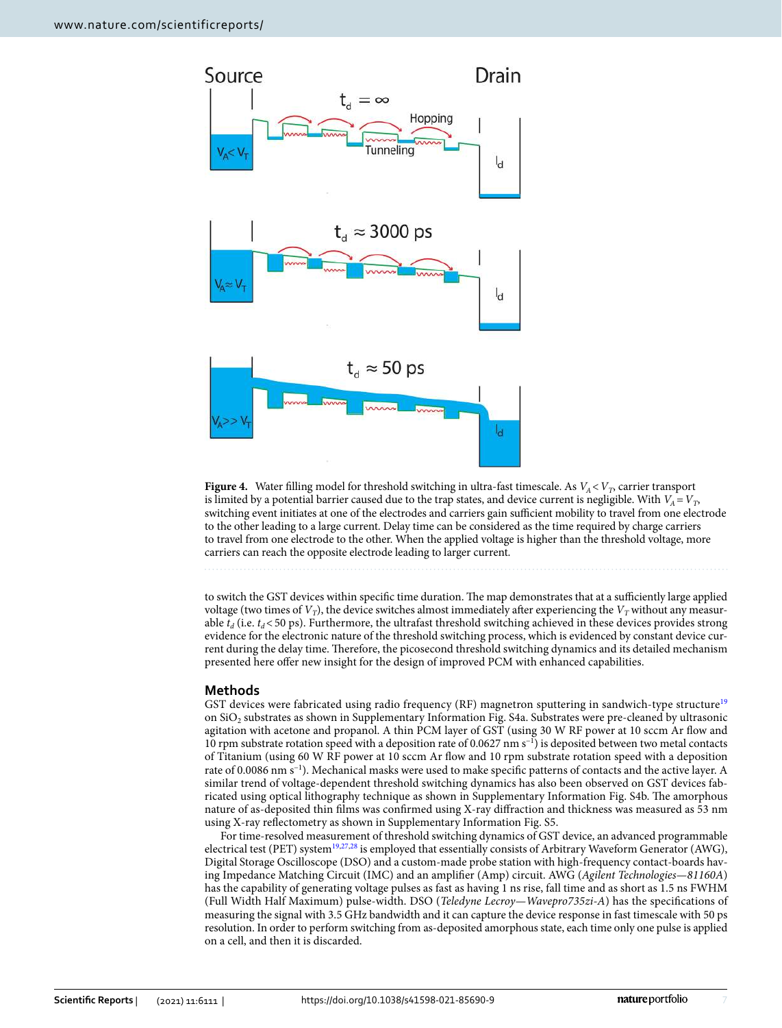

<span id="page-6-0"></span>**Figure 4.** Water filling model for threshold switching in ultra-fast timescale. As *VA* < *V<sup>T</sup>* , carrier transport is limited by a potential barrier caused due to the trap states, and device current is negligible. With  $V_A = V_T$ , switching event initiates at one of the electrodes and carriers gain sufficient mobility to travel from one electrode to the other leading to a large current. Delay time can be considered as the time required by charge carriers to travel from one electrode to the other. When the applied voltage is higher than the threshold voltage, more carriers can reach the opposite electrode leading to larger current.

to switch the GST devices within specific time duration. The map demonstrates that at a sufficiently large applied voltage (two times of  $V_T$ ), the device switches almost immediately after experiencing the  $V_T$  without any measurable  $t_d$  (i.e.  $t_d$  < 50 ps). Furthermore, the ultrafast threshold switching achieved in these devices provides strong evidence for the electronic nature of the threshold switching process, which is evidenced by constant device current during the delay time. Therefore, the picosecond threshold switching dynamics and its detailed mechanism presented here offer new insight for the design of improved PCM with enhanced capabilities.

## **Methods**

GST devices were fabricated using radio frequency (RF) magnetron sputtering in sandwich-type structure<sup>[19](#page-7-15)</sup> on Si $O_2$  substrates as shown in Supplementary Information Fig. S4a. Substrates were pre-cleaned by ultrasonic agitation with acetone and propanol. A thin PCM layer of GST (using 30 W RF power at 10 sccm Ar flow and 10 rpm substrate rotation speed with a deposition rate of 0.0627 nm s−1) is deposited between two metal contacts of Titanium (using 60 W RF power at 10 sccm Ar flow and 10 rpm substrate rotation speed with a deposition rate of 0.0086 nm s−1). Mechanical masks were used to make specific patterns of contacts and the active layer. A similar trend of voltage-dependent threshold switching dynamics has also been observed on GST devices fabricated using optical lithography technique as shown in Supplementary Information Fig. S4b. The amorphous nature of as-deposited thin films was confirmed using X-ray diffraction and thickness was measured as 53 nm using X-ray reflectometry as shown in Supplementary Information Fig. S5.

For time-resolved measurement of threshold switching dynamics of GST device, an advanced programmable electrical test (PET) system<sup>[19](#page-7-15),[27](#page-7-22),[28](#page-7-23)</sup> is employed that essentially consists of Arbitrary Waveform Generator (AWG), Digital Storage Oscilloscope (DSO) and a custom-made probe station with high-frequency contact-boards having Impedance Matching Circuit (IMC) and an amplifier (Amp) circuit. AWG (*Agilent Technologies—81160A*) has the capability of generating voltage pulses as fast as having 1 ns rise, fall time and as short as 1.5 ns FWHM (Full Width Half Maximum) pulse-width. DSO (*Teledyne Lecroy—Wavepro735zi-A*) has the specifications of measuring the signal with 3.5 GHz bandwidth and it can capture the device response in fast timescale with 50 ps resolution. In order to perform switching from as-deposited amorphous state, each time only one pulse is applied on a cell, and then it is discarded.

7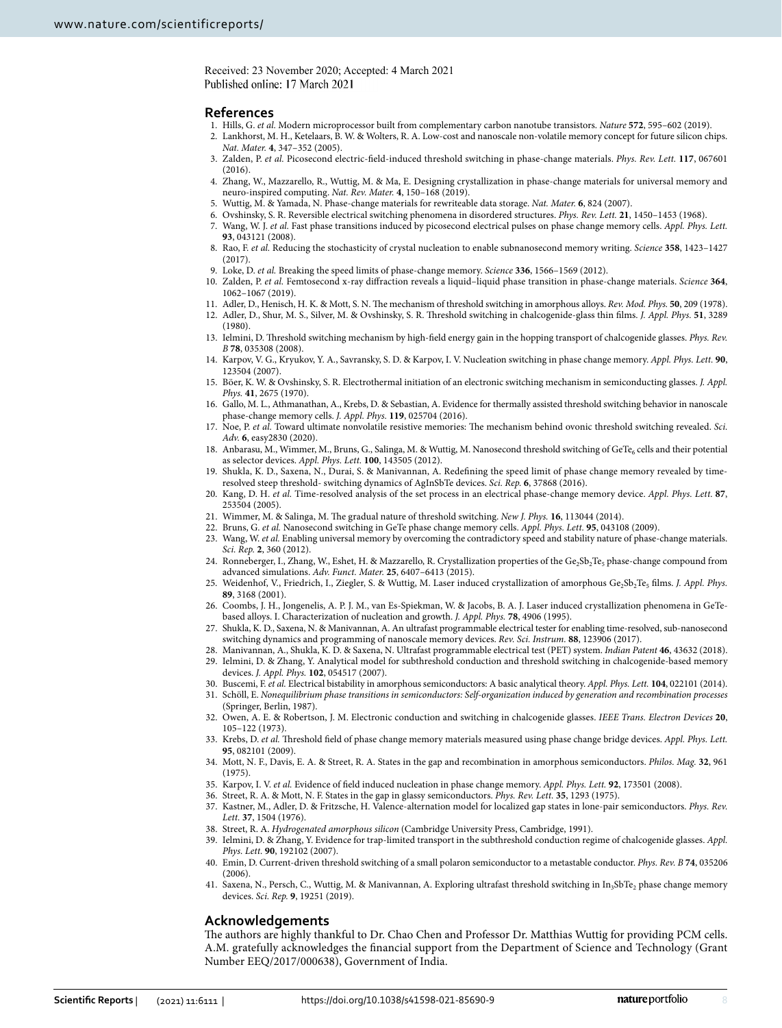Received: 23 November 2020; Accepted: 4 March 2021 Published online: 17 March 2021

#### **References**

- <span id="page-7-0"></span>1. Hills, G. *et al.* Modern microprocessor built from complementary carbon nanotube transistors. *Nature* **572**, 595–602 (2019).
- <span id="page-7-12"></span> 2. Lankhorst, M. H., Ketelaars, B. W. & Wolters, R. A. Low-cost and nanoscale non-volatile memory concept for future silicon chips. *Nat. Mater.* **4**, 347–352 (2005).
- <span id="page-7-7"></span> 3. Zalden, P. *et al.* Picosecond electric-field-induced threshold switching in phase-change materials. *Phys. Rev. Lett.* **117**, 067601  $(2016)$
- <span id="page-7-1"></span> 4. Zhang, W., Mazzarello, R., Wuttig, M. & Ma, E. Designing crystallization in phase-change materials for universal memory and neuro-inspired computing. *Nat. Rev. Mater.* **4**, 150–168 (2019).
- <span id="page-7-3"></span><span id="page-7-2"></span>5. Wuttig, M. & Yamada, N. Phase-change materials for rewriteable data storage. *Nat. Mater.* **6**, 824 (2007).
- 6. Ovshinsky, S. R. Reversible electrical switching phenomena in disordered structures. *Phys. Rev. Lett.* **21**, 1450–1453 (1968).
- <span id="page-7-4"></span> 7. Wang, W. J. *et al.* Fast phase transitions induced by picosecond electrical pulses on phase change memory cells. *Appl. Phys. Lett.* **93**, 043121 (2008).
- <span id="page-7-5"></span> 8. Rao, F. *et al.* Reducing the stochasticity of crystal nucleation to enable subnanosecond memory writing. *Science* **358**, 1423–1427 (2017).
- <span id="page-7-6"></span>9. Loke, D. *et al.* Breaking the speed limits of phase-change memory. *Science* **336**, 1566–1569 (2012).
- <span id="page-7-8"></span> 10. Zalden, P. *et al.* Femtosecond x-ray diffraction reveals a liquid–liquid phase transition in phase-change materials. *Science* **364**, 1062–1067 (2019).
- <span id="page-7-9"></span>11. Adler, D., Henisch, H. K. & Mott, S. N. The mechanism of threshold switching in amorphous alloys. *Rev. Mod. Phys.* **50**, 209 (1978).
- <span id="page-7-14"></span> 12. Adler, D., Shur, M. S., Silver, M. & Ovshinsky, S. R. Threshold switching in chalcogenide-glass thin films. *J. Appl. Phys.* **51**, 3289 (1980).
- <span id="page-7-36"></span> 13. Ielmini, D. Threshold switching mechanism by high-field energy gain in the hopping transport of chalcogenide glasses. *Phys. Rev. B* **78**, 035308 (2008).
- <span id="page-7-24"></span> 14. Karpov, V. G., Kryukov, Y. A., Savransky, S. D. & Karpov, I. V. Nucleation switching in phase change memory. *Appl. Phys. Lett.* **90**, 123504 (2007).
- 15. Böer, K. W. & Ovshinsky, S. R. Electrothermal initiation of an electronic switching mechanism in semiconducting glasses. *J. Appl. Phys.* **41**, 2675 (1970).
- <span id="page-7-10"></span> 16. Gallo, M. L., Athmanathan, A., Krebs, D. & Sebastian, A. Evidence for thermally assisted threshold switching behavior in nanoscale phase-change memory cells. *J. Appl. Phys.* **119**, 025704 (2016).
- <span id="page-7-11"></span> 17. Noe, P. *et al.* Toward ultimate nonvolatile resistive memories: The mechanism behind ovonic threshold switching revealed. *Sci. Adv.* **6**, easy2830 (2020).
- <span id="page-7-13"></span>18. Anbarasu, M., Wimmer, M., Bruns, G., Salinga, M. & Wuttig, M. Nanosecond threshold switching of GeTe<sub>6</sub> cells and their potential as selector devices. *Appl. Phys. Lett.* **100**, 143505 (2012).
- <span id="page-7-15"></span> 19. Shukla, K. D., Saxena, N., Durai, S. & Manivannan, A. Redefining the speed limit of phase change memory revealed by timeresolved steep threshold- switching dynamics of AgInSbTe devices. *Sci. Rep.* **6**, 37868 (2016).
- <span id="page-7-16"></span> 20. Kang, D. H. *et al.* Time-resolved analysis of the set process in an electrical phase-change memory device. *Appl. Phys. Lett.* **87**, 253504 (2005).
- <span id="page-7-17"></span>21. Wimmer, M. & Salinga, M. The gradual nature of threshold switching. *New J. Phys.* **16**, 113044 (2014).
- <span id="page-7-18"></span>22. Bruns, G. *et al.* Nanosecond switching in GeTe phase change memory cells. *Appl. Phys. Lett.* **95**, 043108 (2009).
- <span id="page-7-31"></span> 23. Wang, W. *et al.* Enabling universal memory by overcoming the contradictory speed and stability nature of phase-change materials. *Sci. Rep.* **2**, 360 (2012).
- <span id="page-7-19"></span>24. Ronneberger, I., Zhang, W., Eshet, H. & Mazzarello, R. Crystallization properties of the  $Ge_2Sb_2Te_5$  phase-change compound from advanced simulations. *Adv. Funct. Mater.* **25**, 6407–6413 (2015).
- <span id="page-7-20"></span>25. Weidenhof, V., Friedrich, I., Ziegler, S. & Wuttig, M. Laser induced crystallization of amorphous Ge<sub>2</sub>Sb<sub>2</sub>Te<sub>5</sub> films. *J. Appl. Phys.* **89**, 3168 (2001).
- <span id="page-7-21"></span> 26. Coombs, J. H., Jongenelis, A. P. J. M., van Es-Spiekman, W. & Jacobs, B. A. J. Laser induced crystallization phenomena in GeTebased alloys. I. Characterization of nucleation and growth. *J. Appl. Phys.* **78**, 4906 (1995).
- <span id="page-7-22"></span> 27. Shukla, K. D., Saxena, N. & Manivannan, A. An ultrafast programmable electrical tester for enabling time-resolved, sub-nanosecond switching dynamics and programming of nanoscale memory devices. *Rev. Sci. Instrum.* **88**, 123906 (2017).
- <span id="page-7-25"></span><span id="page-7-23"></span> 28. Manivannan, A., Shukla, K. D. & Saxena, N. Ultrafast programmable electrical test (PET) system. *Indian Patent* **46**, 43632 (2018). 29. Ielmini, D. & Zhang, Y. Analytical model for subthreshold conduction and threshold switching in chalcogenide-based memory devices. *J. Appl. Phys.* **102**, 054517 (2007).
- <span id="page-7-26"></span>30. Buscemi, F. *et al.* Electrical bistability in amorphous semiconductors: A basic analytical theory. *Appl. Phys. Lett.* **104**, 022101 (2014).
- <span id="page-7-27"></span> 31. Schöll, E. *Nonequilibrium phase transitions in semiconductors: Self-organization induced by generation and recombination processes* (Springer, Berlin, 1987).
- <span id="page-7-28"></span> 32. Owen, A. E. & Robertson, J. M. Electronic conduction and switching in chalcogenide glasses. *IEEE Trans. Electron Devices* **20**, 105–122 (1973).
- <span id="page-7-29"></span> 33. Krebs, D. *et al.* Threshold field of phase change memory materials measured using phase change bridge devices. *Appl. Phys. Lett.* **95**, 082101 (2009).
- <span id="page-7-30"></span> 34. Mott, N. F., Davis, E. A. & Street, R. A. States in the gap and recombination in amorphous semiconductors. *Philos. Mag.* **32**, 961 (1975).
- <span id="page-7-32"></span>35. Karpov, I. V. *et al.* Evidence of field induced nucleation in phase change memory. *Appl. Phys. Lett.* **92**, 173501 (2008).
- <span id="page-7-33"></span>36. Street, R. A. & Mott, N. F. States in the gap in glassy semiconductors. *Phys. Rev. Lett.* **35**, 1293 (1975).
- <span id="page-7-34"></span> 37. Kastner, M., Adler, D. & Fritzsche, H. Valence-alternation model for localized gap states in lone-pair semiconductors. *Phys. Rev. Lett.* **37**, 1504 (1976).
- <span id="page-7-35"></span>38. Street, R. A. *Hydrogenated amorphous silicon* (Cambridge University Press, Cambridge, 1991).
- <span id="page-7-37"></span> 39. Ielmini, D. & Zhang, Y. Evidence for trap-limited transport in the subthreshold conduction regime of chalcogenide glasses. *Appl. Phys. Lett.* **90**, 192102 (2007).
- <span id="page-7-38"></span> 40. Emin, D. Current-driven threshold switching of a small polaron semiconductor to a metastable conductor. *Phys. Rev. B* **74**, 035206 (2006).
- <span id="page-7-39"></span>41. Saxena, N., Persch, C., Wuttig, M. & Manivannan, A. Exploring ultrafast threshold switching in In<sub>3</sub>SbTe<sub>2</sub> phase change memory devices. *Sci. Rep.* **9**, 19251 (2019).

### **Acknowledgements**

The authors are highly thankful to Dr. Chao Chen and Professor Dr. Matthias Wuttig for providing PCM cells. A.M. gratefully acknowledges the financial support from the Department of Science and Technology (Grant Number EEQ/2017/000638), Government of India.